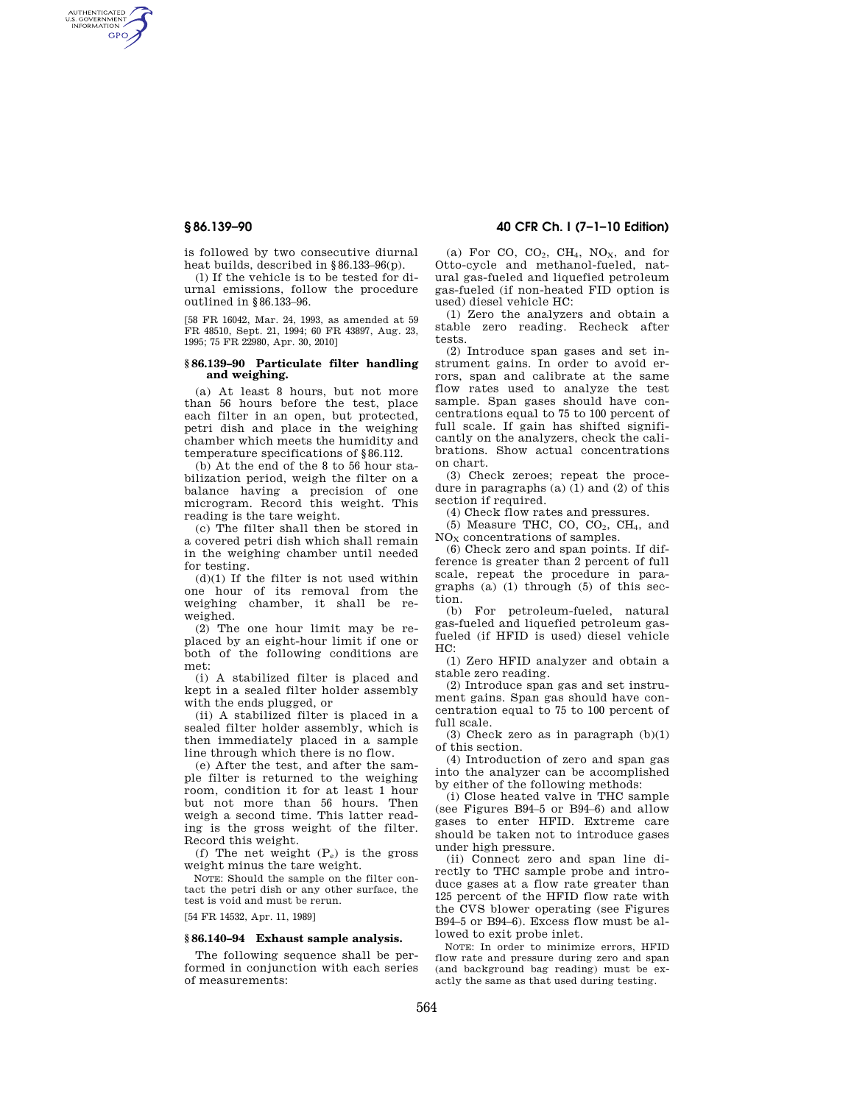AUTHENTICATED<br>U.S. GOVERNMENT<br>INFORMATION **GPO** 

> is followed by two consecutive diurnal heat builds, described in §86.133–96(p).

> (l) If the vehicle is to be tested for diurnal emissions, follow the procedure outlined in §86.133–96.

> [58 FR 16042, Mar. 24, 1993, as amended at 59 FR 48510, Sept. 21, 1994; 60 FR 43897, Aug. 23, 1995; 75 FR 22980, Apr. 30, 2010]

#### **§ 86.139–90 Particulate filter handling and weighing.**

(a) At least 8 hours, but not more than 56 hours before the test, place each filter in an open, but protected, petri dish and place in the weighing chamber which meets the humidity and temperature specifications of §86.112.

(b) At the end of the 8 to 56 hour stabilization period, weigh the filter on a balance having a precision of one microgram. Record this weight. This reading is the tare weight.

(c) The filter shall then be stored in a covered petri dish which shall remain in the weighing chamber until needed for testing.

(d)(1) If the filter is not used within one hour of its removal from the weighing chamber, it shall be reweighed.

(2) The one hour limit may be replaced by an eight-hour limit if one or both of the following conditions are met:

(i) A stabilized filter is placed and kept in a sealed filter holder assembly with the ends plugged, or

(ii) A stabilized filter is placed in a sealed filter holder assembly, which is then immediately placed in a sample line through which there is no flow.

(e) After the test, and after the sample filter is returned to the weighing room, condition it for at least 1 hour but not more than 56 hours. Then weigh a second time. This latter reading is the gross weight of the filter. Record this weight.

(f) The net weight  $(P_e)$  is the gross weight minus the tare weight.

NOTE: Should the sample on the filter contact the petri dish or any other surface, the test is void and must be rerun.

[54 FR 14532, Apr. 11, 1989]

## **§ 86.140–94 Exhaust sample analysis.**

The following sequence shall be performed in conjunction with each series of measurements:

# **§ 86.139–90 40 CFR Ch. I (7–1–10 Edition)**

(a) For CO,  $CO<sub>2</sub>$ , CH<sub>4</sub>, NO<sub>X</sub>, and for Otto-cycle and methanol-fueled, natural gas-fueled and liquefied petroleum gas-fueled (if non-heated FID option is used) diesel vehicle HC:

(1) Zero the analyzers and obtain a stable zero reading. Recheck after tests.

(2) Introduce span gases and set instrument gains. In order to avoid errors, span and calibrate at the same flow rates used to analyze the test sample. Span gases should have concentrations equal to 75 to 100 percent of full scale. If gain has shifted significantly on the analyzers, check the calibrations. Show actual concentrations on chart.

(3) Check zeroes; repeat the procedure in paragraphs (a) (1) and (2) of this section if required.

(4) Check flow rates and pressures.

(5) Measure THC, CO,  $CO<sub>2</sub>$ , CH<sub>4</sub>, and  $NO<sub>X</sub>$  concentrations of samples.

(6) Check zero and span points. If difference is greater than 2 percent of full scale, repeat the procedure in paragraphs (a) (1) through (5) of this section.

(b) For petroleum-fueled, natural gas-fueled and liquefied petroleum gasfueled (if HFID is used) diesel vehicle HC:

(1) Zero HFID analyzer and obtain a stable zero reading.

(2) Introduce span gas and set instrument gains. Span gas should have concentration equal to 75 to 100 percent of full scale.

(3) Check zero as in paragraph (b)(1) of this section.

(4) Introduction of zero and span gas into the analyzer can be accomplished by either of the following methods:

(i) Close heated valve in THC sample (see Figures B94–5 or B94–6) and allow gases to enter HFID. Extreme care should be taken not to introduce gases under high pressure.

(ii) Connect zero and span line directly to THC sample probe and introduce gases at a flow rate greater than 125 percent of the HFID flow rate with the CVS blower operating (see Figures B94–5 or B94–6). Excess flow must be allowed to exit probe inlet.

NOTE: In order to minimize errors, HFID flow rate and pressure during zero and span (and background bag reading) must be exactly the same as that used during testing.